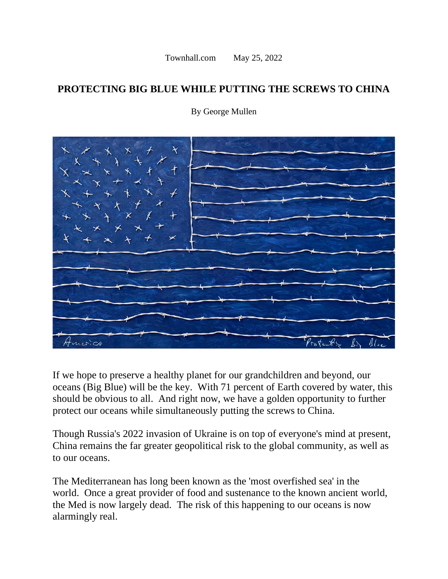Townhall.com May 25, 2022

## **PROTECTING BIG BLUE WHILE PUTTING THE SCREWS TO CHINA**



By George Mullen

If we hope to preserve a healthy planet for our grandchildren and beyond, our oceans (Big Blue) will be the key. With 71 percent of Earth covered by water, this should be obvious to all. And right now, we have a golden opportunity to further protect our oceans while simultaneously putting the screws to China.

Though Russia's 2022 invasion of Ukraine is on top of everyone's mind at present, China remains the far greater geopolitical risk to the global community, as well as to our oceans.

The Mediterranean has long been known as the 'most overfished sea' in the world. Once a great provider of food and sustenance to the known ancient world, the Med is now largely dead. The risk of this happening to our oceans is now alarmingly real.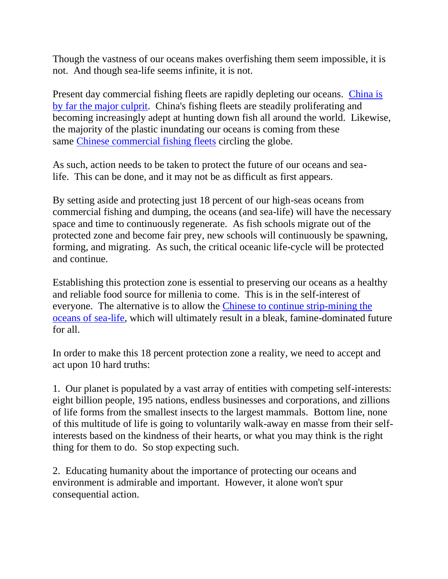Though the vastness of our oceans makes overfishing them seem impossible, it is not. And though sea-life seems infinite, it is not.

Present day commercial fishing fleets are rapidly depleting our oceans. [China is](https://en.wikipedia.org/wiki/Fishing_industry_by_country)  [by far the major culprit.](https://en.wikipedia.org/wiki/Fishing_industry_by_country) China's fishing fleets are steadily proliferating and becoming increasingly adept at hunting down fish all around the world. Likewise, the majority of the plastic inundating our oceans is coming from these same [Chinese commercial fishing fleets](https://www.gatestoneinstitute.org/17297/china-fishing-fleet) circling the globe.

As such, action needs to be taken to protect the future of our oceans and sealife. This can be done, and it may not be as difficult as first appears.

By setting aside and protecting just 18 percent of our high-seas oceans from commercial fishing and dumping, the oceans (and sea-life) will have the necessary space and time to continuously regenerate. As fish schools migrate out of the protected zone and become fair prey, new schools will continuously be spawning, forming, and migrating. As such, the critical oceanic life-cycle will be protected and continue.

Establishing this protection zone is essential to preserving our oceans as a healthy and reliable food source for millenia to come. This is in the self-interest of everyone. The alternative is to allow the [Chinese to continue strip-mining the](https://www.gatestoneinstitute.org/17297/china-fishing-fleet)  [oceans of sea-life,](https://www.gatestoneinstitute.org/17297/china-fishing-fleet) which will ultimately result in a bleak, famine-dominated future for all.

In order to make this 18 percent protection zone a reality, we need to accept and act upon 10 hard truths:

1. Our planet is populated by a vast array of entities with competing self-interests: eight billion people, 195 nations, endless businesses and corporations, and zillions of life forms from the smallest insects to the largest mammals. Bottom line, none of this multitude of life is going to voluntarily walk-away en masse from their selfinterests based on the kindness of their hearts, or what you may think is the right thing for them to do. So stop expecting such.

2. Educating humanity about the importance of protecting our oceans and environment is admirable and important. However, it alone won't spur consequential action.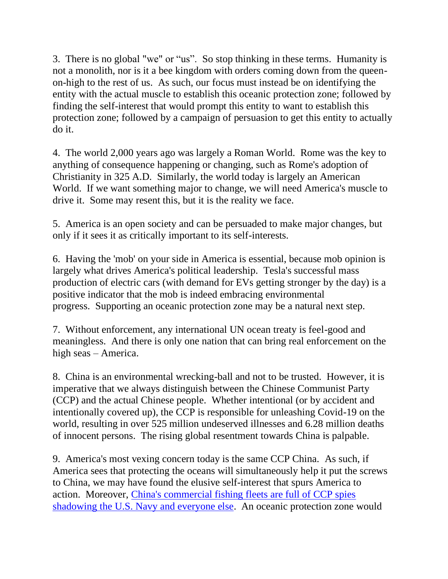3. There is no global "we" or "us". So stop thinking in these terms. Humanity is not a monolith, nor is it a bee kingdom with orders coming down from the queenon-high to the rest of us. As such, our focus must instead be on identifying the entity with the actual muscle to establish this oceanic protection zone; followed by finding the self-interest that would prompt this entity to want to establish this protection zone; followed by a campaign of persuasion to get this entity to actually do it.

4. The world 2,000 years ago was largely a Roman World. Rome was the key to anything of consequence happening or changing, such as Rome's adoption of Christianity in 325 A.D. Similarly, the world today is largely an American World. If we want something major to change, we will need America's muscle to drive it. Some may resent this, but it is the reality we face.

5. America is an open society and can be persuaded to make major changes, but only if it sees it as critically important to its self-interests.

6. Having the 'mob' on your side in America is essential, because mob opinion is largely what drives America's political leadership. Tesla's successful mass production of electric cars (with demand for EVs getting stronger by the day) is a positive indicator that the mob is indeed embracing environmental progress. Supporting an oceanic protection zone may be a natural next step.

7. Without enforcement, any international UN ocean treaty is feel-good and meaningless. And there is only one nation that can bring real enforcement on the high seas – America.

8. China is an environmental wrecking-ball and not to be trusted. However, it is imperative that we always distinguish between the Chinese Communist Party (CCP) and the actual Chinese people. Whether intentional (or by accident and intentionally covered up), the CCP is responsible for unleashing Covid-19 on the world, resulting in over 525 million undeserved illnesses and 6.28 million deaths of innocent persons. The rising global resentment towards China is palpable.

9. America's most vexing concern today is the same CCP China. As such, if America sees that protecting the oceans will simultaneously help it put the screws to China, we may have found the elusive self-interest that spurs America to action. Moreover, [China's commercial fishing fleets are full of CCP spies](https://realnewsaggregator.com/news/2021/10/08/chinas-maritime-militia-the-ccps-covert-military-arm-2/)  [shadowing the U.S. Navy and everyone else.](https://realnewsaggregator.com/news/2021/10/08/chinas-maritime-militia-the-ccps-covert-military-arm-2/) An oceanic protection zone would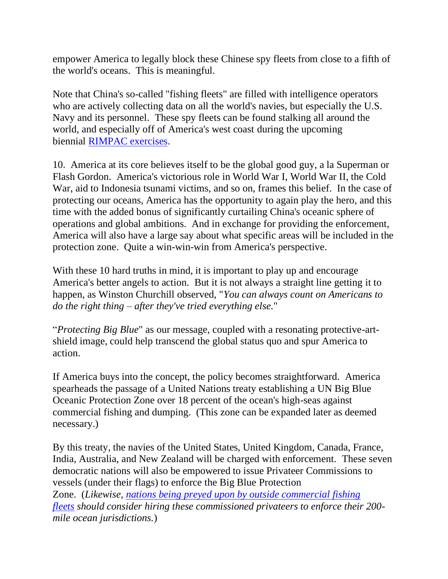empower America to legally block these Chinese spy fleets from close to a fifth of the world's oceans. This is meaningful.

Note that China's so-called "fishing fleets" are filled with intelligence operators who are actively collecting data on all the world's navies, but especially the U.S. Navy and its personnel. These spy fleets can be found stalking all around the world, and especially off of America's west coast during the upcoming biennial [RIMPAC exercises.](https://en.wikipedia.org/wiki/Exercise_RIMPAC)

10. America at its core believes itself to be the global good guy, a la Superman or Flash Gordon. America's victorious role in World War I, World War II, the Cold War, aid to Indonesia tsunami victims, and so on, frames this belief. In the case of protecting our oceans, America has the opportunity to again play the hero, and this time with the added bonus of significantly curtailing China's oceanic sphere of operations and global ambitions. And in exchange for providing the enforcement, America will also have a large say about what specific areas will be included in the protection zone. Quite a win-win-win from America's perspective.

With these 10 hard truths in mind, it is important to play up and encourage America's better angels to action. But it is not always a straight line getting it to happen, as Winston Churchill observed, "*You can always count on Americans to do the right thing – after they've tried everything else.*"

"*Protecting Big Blue*" as our message, coupled with a resonating protective-artshield image, could help transcend the global status quo and spur America to action.

If America buys into the concept, the policy becomes straightforward. America spearheads the passage of a United Nations treaty establishing a UN Big Blue Oceanic Protection Zone over 18 percent of the ocean's high-seas against commercial fishing and dumping. (This zone can be expanded later as deemed necessary.)

By this treaty, the navies of the United States, United Kingdom, Canada, France, India, Australia, and New Zealand will be charged with enforcement. These seven democratic nations will also be empowered to issue Privateer Commissions to vessels (under their flags) to enforce the Big Blue Protection Zone. (*Likewise, [nations being preyed upon by outside commercial fishing](https://apnews.com/article/business-science-china-environment-and-nature-peru-74afc6d37b58d1a93960cad4886651d7)  [fleets](https://apnews.com/article/business-science-china-environment-and-nature-peru-74afc6d37b58d1a93960cad4886651d7) should consider hiring these commissioned privateers to enforce their 200 mile ocean jurisdictions.*)